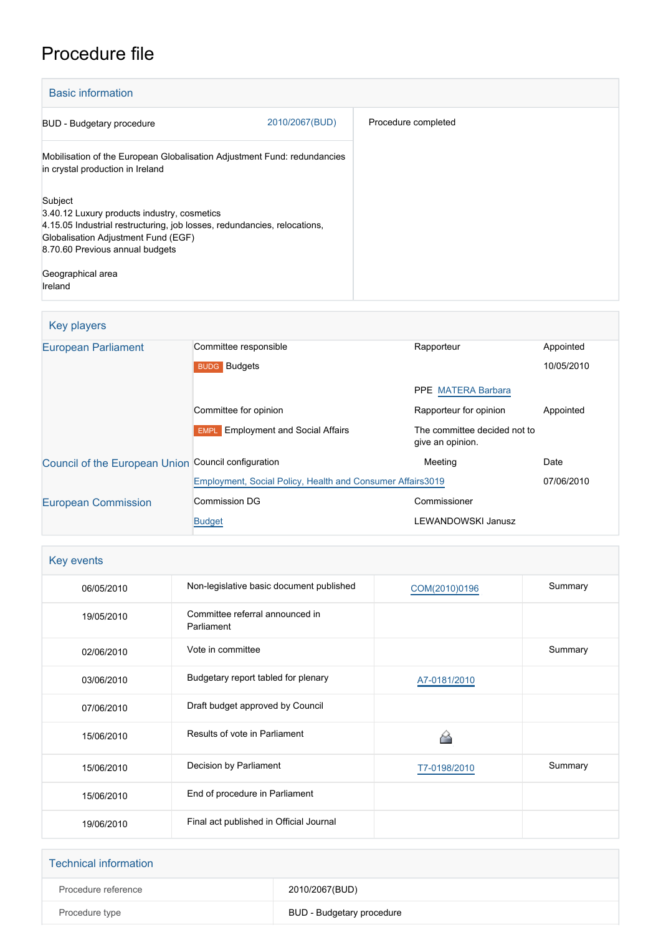# Procedure file

| <b>Basic information</b>                                                                                                                                                                                     |                |                     |
|--------------------------------------------------------------------------------------------------------------------------------------------------------------------------------------------------------------|----------------|---------------------|
| <b>BUD</b> - Budgetary procedure                                                                                                                                                                             | 2010/2067(BUD) | Procedure completed |
| Mobilisation of the European Globalisation Adjustment Fund: redundancies<br>in crystal production in Ireland                                                                                                 |                |                     |
| Subject<br>3.40.12 Luxury products industry, cosmetics<br>4.15.05 Industrial restructuring, job losses, redundancies, relocations,<br>Globalisation Adjustment Fund (EGF)<br>8.70.60 Previous annual budgets |                |                     |
| Geographical area<br>Ireland                                                                                                                                                                                 |                |                     |

## Key players

| <b>European Parliament</b>                          | Committee responsible                                       | Rapporteur                                       | Appointed  |
|-----------------------------------------------------|-------------------------------------------------------------|--------------------------------------------------|------------|
|                                                     | <b>BUDG</b> Budgets                                         |                                                  | 10/05/2010 |
|                                                     |                                                             | PPE MATERA Barbara                               |            |
|                                                     | Committee for opinion                                       | Rapporteur for opinion                           | Appointed  |
|                                                     | <b>Employment and Social Affairs</b><br><b>EMPL</b>         | The committee decided not to<br>give an opinion. |            |
| Council of the European Union Council configuration |                                                             | Meeting                                          | Date       |
|                                                     | Employment, Social Policy, Health and Consumer Affairs 3019 |                                                  | 07/06/2010 |
| <b>European Commission</b>                          | <b>Commission DG</b>                                        | Commissioner                                     |            |
|                                                     | <b>Budget</b>                                               | LEWANDOWSKI Janusz                               |            |

| Key events |                                               |               |         |
|------------|-----------------------------------------------|---------------|---------|
| 06/05/2010 | Non-legislative basic document published      | COM(2010)0196 | Summary |
| 19/05/2010 | Committee referral announced in<br>Parliament |               |         |
| 02/06/2010 | Vote in committee                             |               | Summary |
| 03/06/2010 | Budgetary report tabled for plenary           | A7-0181/2010  |         |
| 07/06/2010 | Draft budget approved by Council              |               |         |
| 15/06/2010 | Results of vote in Parliament                 |               |         |
| 15/06/2010 | Decision by Parliament                        | T7-0198/2010  | Summary |
| 15/06/2010 | End of procedure in Parliament                |               |         |
| 19/06/2010 | Final act published in Official Journal       |               |         |

| <b>Technical information</b> |                           |
|------------------------------|---------------------------|
| Procedure reference          | 2010/2067(BUD)            |
| Procedure type               | BUD - Budgetary procedure |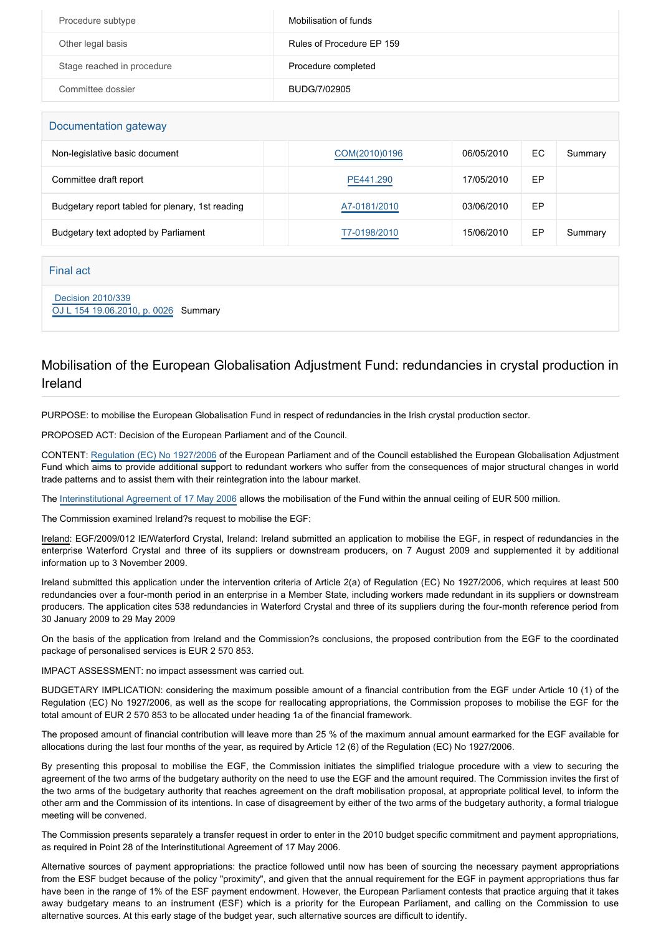| Procedure subtype          | Mobilisation of funds     |
|----------------------------|---------------------------|
| Other legal basis          | Rules of Procedure EP 159 |
| Stage reached in procedure | Procedure completed       |
| Committee dossier          | BUDG/7/02905              |

| Documentation gateway                            |               |            |    |         |
|--------------------------------------------------|---------------|------------|----|---------|
| Non-legislative basic document                   | COM(2010)0196 | 06/05/2010 | ЕC | Summary |
| Committee draft report                           | PE441.290     | 17/05/2010 | EР |         |
| Budgetary report tabled for plenary, 1st reading | A7-0181/2010  | 03/06/2010 | EP |         |
| Budgetary text adopted by Parliament             | T7-0198/2010  | 15/06/2010 | ЕP | Summary |

#### Final act

 [Decision 2010/339](https://eur-lex.europa.eu/smartapi/cgi/sga_doc?smartapi!celexplus!prod!CELEXnumdoc&lg=EN&numdoc=32010D0339) [OJ L 154 19.06.2010, p. 0026](https://eur-lex.europa.eu/LexUriServ/LexUriServ.do?uri=OJ:L:2010:154:0026:0026:EN:PDF) Summary

#### Mobilisation of the European Globalisation Adjustment Fund: redundancies in crystal production in Ireland

PURPOSE: to mobilise the European Globalisation Fund in respect of redundancies in the Irish crystal production sector.

PROPOSED ACT: Decision of the European Parliament and of the Council.

CONTENT: [Regulation \(EC\) No 1927/2006](http://www.europarl.europa.eu/oeil/FindByProcnum.do?lang=en&procnum=COD/2006/0033) of the European Parliament and of the Council established the European Globalisation Adjustment Fund which aims to provide additional support to redundant workers who suffer from the consequences of major structural changes in world trade patterns and to assist them with their reintegration into the labour market.

The [Interinstitutional Agreement of 17 May 2006](http://www.europarl.europa.eu/oeil/FindByProcnum.do?lang=en&procnum=ACI/2004/2099) allows the mobilisation of the Fund within the annual ceiling of EUR 500 million.

The Commission examined Ireland?s request to mobilise the EGF:

Ireland: EGF/2009/012 IE/Waterford Crystal, Ireland: Ireland submitted an application to mobilise the EGF, in respect of redundancies in the enterprise Waterford Crystal and three of its suppliers or downstream producers, on 7 August 2009 and supplemented it by additional information up to 3 November 2009.

Ireland submitted this application under the intervention criteria of Article 2(a) of Regulation (EC) No 1927/2006, which requires at least 500 redundancies over a four-month period in an enterprise in a Member State, including workers made redundant in its suppliers or downstream producers. The application cites 538 redundancies in Waterford Crystal and three of its suppliers during the four-month reference period from 30 January 2009 to 29 May 2009

On the basis of the application from Ireland and the Commission?s conclusions, the proposed contribution from the EGF to the coordinated package of personalised services is EUR 2 570 853.

IMPACT ASSESSMENT: no impact assessment was carried out.

BUDGETARY IMPLICATION: considering the maximum possible amount of a financial contribution from the EGF under Article 10 (1) of the Regulation (EC) No 1927/2006, as well as the scope for reallocating appropriations, the Commission proposes to mobilise the EGF for the total amount of EUR 2 570 853 to be allocated under heading 1a of the financial framework.

The proposed amount of financial contribution will leave more than 25 % of the maximum annual amount earmarked for the EGF available for allocations during the last four months of the year, as required by Article 12 (6) of the Regulation (EC) No 1927/2006.

By presenting this proposal to mobilise the EGF, the Commission initiates the simplified trialogue procedure with a view to securing the agreement of the two arms of the budgetary authority on the need to use the EGF and the amount required. The Commission invites the first of the two arms of the budgetary authority that reaches agreement on the draft mobilisation proposal, at appropriate political level, to inform the other arm and the Commission of its intentions. In case of disagreement by either of the two arms of the budgetary authority, a formal trialogue meeting will be convened.

The Commission presents separately a transfer request in order to enter in the 2010 budget specific commitment and payment appropriations, as required in Point 28 of the Interinstitutional Agreement of 17 May 2006.

Alternative sources of payment appropriations: the practice followed until now has been of sourcing the necessary payment appropriations from the ESF budget because of the policy "proximity", and given that the annual requirement for the EGF in payment appropriations thus far have been in the range of 1% of the ESF payment endowment. However, the European Parliament contests that practice arguing that it takes away budgetary means to an instrument (ESF) which is a priority for the European Parliament, and calling on the Commission to use alternative sources. At this early stage of the budget year, such alternative sources are difficult to identify.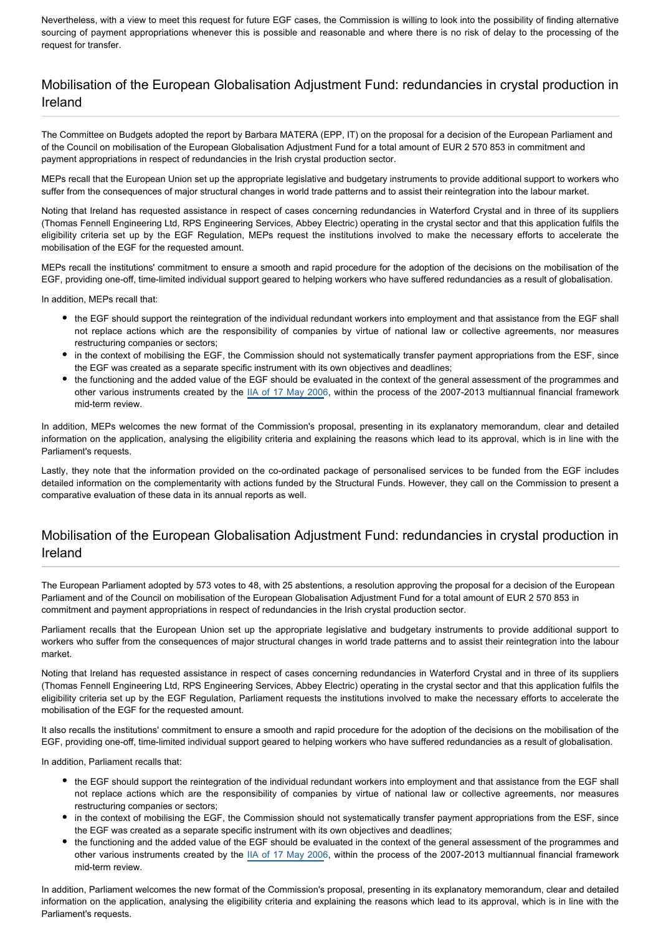Nevertheless, with a view to meet this request for future EGF cases, the Commission is willing to look into the possibility of finding alternative sourcing of payment appropriations whenever this is possible and reasonable and where there is no risk of delay to the processing of the request for transfer.

#### Mobilisation of the European Globalisation Adjustment Fund: redundancies in crystal production in Ireland

The Committee on Budgets adopted the report by Barbara MATERA (EPP, IT) on the proposal for a decision of the European Parliament and of the Council on mobilisation of the European Globalisation Adjustment Fund for a total amount of EUR 2 570 853 in commitment and payment appropriations in respect of redundancies in the Irish crystal production sector.

MEPs recall that the European Union set up the appropriate legislative and budgetary instruments to provide additional support to workers who suffer from the consequences of major structural changes in world trade patterns and to assist their reintegration into the labour market.

Noting that Ireland has requested assistance in respect of cases concerning redundancies in Waterford Crystal and in three of its suppliers (Thomas Fennell Engineering Ltd, RPS Engineering Services, Abbey Electric) operating in the crystal sector and that this application fulfils the eligibility criteria set up by the EGF Regulation, MEPs request the institutions involved to make the necessary efforts to accelerate the mobilisation of the EGF for the requested amount.

MEPs recall the institutions' commitment to ensure a smooth and rapid procedure for the adoption of the decisions on the mobilisation of the EGF, providing one-off, time-limited individual support geared to helping workers who have suffered redundancies as a result of globalisation.

In addition, MEPs recall that:

- the EGF should support the reintegration of the individual redundant workers into employment and that assistance from the EGF shall not replace actions which are the responsibility of companies by virtue of national law or collective agreements, nor measures restructuring companies or sectors;
- in the context of mobilising the EGF, the Commission should not systematically transfer payment appropriations from the ESF, since the EGF was created as a separate specific instrument with its own objectives and deadlines;
- the functioning and the added value of the EGF should be evaluated in the context of the general assessment of the programmes and other various instruments created by the [IIA of 17 May 2006](http://www.europarl.europa.eu/oeil/FindByProcnum.do?lang=en&procnum=ACI/2004/2099), within the process of the 2007-2013 multiannual financial framework mid-term review.

In addition, MEPs welcomes the new format of the Commission's proposal, presenting in its explanatory memorandum, clear and detailed information on the application, analysing the eligibility criteria and explaining the reasons which lead to its approval, which is in line with the Parliament's requests.

Lastly, they note that the information provided on the co-ordinated package of personalised services to be funded from the EGF includes detailed information on the complementarity with actions funded by the Structural Funds. However, they call on the Commission to present a comparative evaluation of these data in its annual reports as well.

#### Mobilisation of the European Globalisation Adjustment Fund: redundancies in crystal production in Ireland

The European Parliament adopted by 573 votes to 48, with 25 abstentions, a resolution approving the proposal for a decision of the European Parliament and of the Council on mobilisation of the European Globalisation Adjustment Fund for a total amount of EUR 2 570 853 in commitment and payment appropriations in respect of redundancies in the Irish crystal production sector.

Parliament recalls that the European Union set up the appropriate legislative and budgetary instruments to provide additional support to workers who suffer from the consequences of major structural changes in world trade patterns and to assist their reintegration into the labour market.

Noting that Ireland has requested assistance in respect of cases concerning redundancies in Waterford Crystal and in three of its suppliers (Thomas Fennell Engineering Ltd, RPS Engineering Services, Abbey Electric) operating in the crystal sector and that this application fulfils the eligibility criteria set up by the EGF Regulation, Parliament requests the institutions involved to make the necessary efforts to accelerate the mobilisation of the EGF for the requested amount.

It also recalls the institutions' commitment to ensure a smooth and rapid procedure for the adoption of the decisions on the mobilisation of the EGF, providing one-off, time-limited individual support geared to helping workers who have suffered redundancies as a result of globalisation.

In addition, Parliament recalls that:

- the EGF should support the reintegration of the individual redundant workers into employment and that assistance from the EGF shall not replace actions which are the responsibility of companies by virtue of national law or collective agreements, nor measures restructuring companies or sectors;
- in the context of mobilising the EGF, the Commission should not systematically transfer payment appropriations from the ESF, since the EGF was created as a separate specific instrument with its own objectives and deadlines;
- the functioning and the added value of the EGF should be evaluated in the context of the general assessment of the programmes and other various instruments created by the [IIA of 17 May 2006](http://www.europarl.europa.eu/oeil/FindByProcnum.do?lang=en&procnum=ACI/2004/2099), within the process of the 2007-2013 multiannual financial framework mid-term review.

In addition, Parliament welcomes the new format of the Commission's proposal, presenting in its explanatory memorandum, clear and detailed information on the application, analysing the eligibility criteria and explaining the reasons which lead to its approval, which is in line with the Parliament's requests.